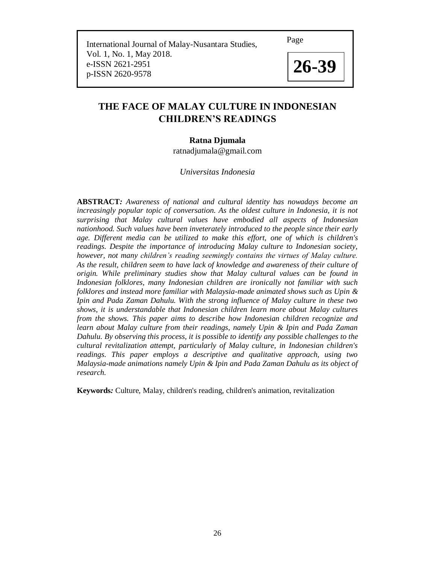Page

 International Journal of Malay-Nusantara Studies, Vol. 1, No. 1, May 2018. e-ISSN 2621-2951 e-ISSN 2621-2951<br>p-ISSN 2620-9578 **26-39** 



# **THE FACE OF MALAY CULTURE IN INDONESIAN CHILDREN'S READINGS**

# **Ratna Djumala**

ratnadjumala@gmail.com

# *Universitas Indonesia*

**ABSTRACT***: Awareness of national and cultural identity has nowadays become an increasingly popular topic of conversation. As the oldest culture in Indonesia, it is not surprising that Malay cultural values have embodied all aspects of Indonesian nationhood. Such values have been inveterately introduced to the people since their early age. Different media can be utilized to make this effort, one of which is children's readings. Despite the importance of introducing Malay culture to Indonesian society, however, not many children's reading seemingly contains the virtues of Malay culture. As the result, children seem to have lack of knowledge and awareness of their culture of origin. While preliminary studies show that Malay cultural values can be found in Indonesian folklores, many Indonesian children are ironically not familiar with such folklores and instead more familiar with Malaysia-made animated shows such as Upin & Ipin and Pada Zaman Dahulu. With the strong influence of Malay culture in these two shows, it is understandable that Indonesian children learn more about Malay cultures from the shows. This paper aims to describe how Indonesian children recognize and learn about Malay culture from their readings, namely Upin & Ipin and Pada Zaman Dahulu. By observing this process, it is possible to identify any possible challenges to the cultural revitalization attempt, particularly of Malay culture, in Indonesian children's readings. This paper employs a descriptive and qualitative approach, using two Malaysia-made animations namely Upin & Ipin and Pada Zaman Dahulu as its object of research.* 

**Keywords***:* Culture, Malay, children's reading, children's animation, revitalization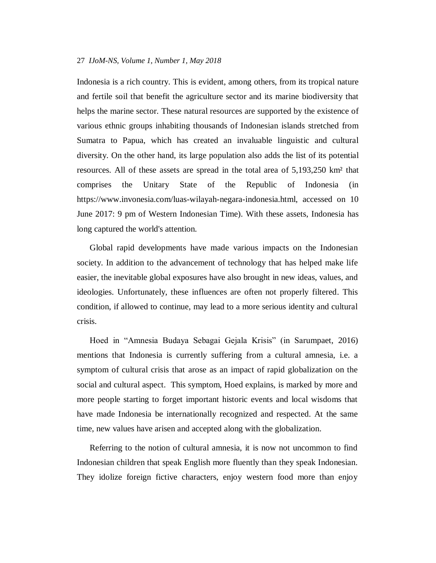Indonesia is a rich country. This is evident, among others, from its tropical nature and fertile soil that benefit the agriculture sector and its marine biodiversity that helps the marine sector. These natural resources are supported by the existence of various ethnic groups inhabiting thousands of Indonesian islands stretched from Sumatra to Papua, which has created an invaluable linguistic and cultural diversity. On the other hand, its large population also adds the list of its potential resources. All of these assets are spread in the total area of 5,193,250 km² that comprises the Unitary State of the Republic of Indonesia (in https://www.invonesia.com/luas-wilayah-negara-indonesia.html, accessed on 10 June 2017: 9 pm of Western Indonesian Time). With these assets, Indonesia has long captured the world's attention.

Global rapid developments have made various impacts on the Indonesian society. In addition to the advancement of technology that has helped make life easier, the inevitable global exposures have also brought in new ideas, values, and ideologies. Unfortunately, these influences are often not properly filtered. This condition, if allowed to continue, may lead to a more serious identity and cultural crisis.

Hoed in "Amnesia Budaya Sebagai Gejala Krisis" (in Sarumpaet, 2016) mentions that Indonesia is currently suffering from a cultural amnesia, i.e. a symptom of cultural crisis that arose as an impact of rapid globalization on the social and cultural aspect. This symptom, Hoed explains, is marked by more and more people starting to forget important historic events and local wisdoms that have made Indonesia be internationally recognized and respected. At the same time, new values have arisen and accepted along with the globalization.

Referring to the notion of cultural amnesia, it is now not uncommon to find Indonesian children that speak English more fluently than they speak Indonesian. They idolize foreign fictive characters, enjoy western food more than enjoy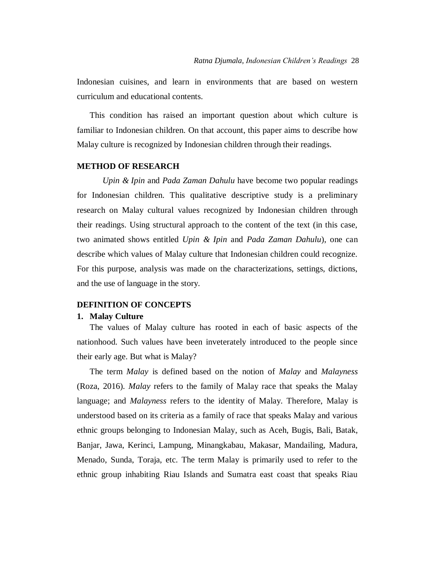Indonesian cuisines, and learn in environments that are based on western curriculum and educational contents.

This condition has raised an important question about which culture is familiar to Indonesian children. On that account, this paper aims to describe how Malay culture is recognized by Indonesian children through their readings.

# **METHOD OF RESEARCH**

*Upin & Ipin* and *Pada Zaman Dahulu* have become two popular readings for Indonesian children. This qualitative descriptive study is a preliminary research on Malay cultural values recognized by Indonesian children through their readings. Using structural approach to the content of the text (in this case, two animated shows entitled *Upin & Ipin* and *Pada Zaman Dahulu*), one can describe which values of Malay culture that Indonesian children could recognize. For this purpose, analysis was made on the characterizations, settings, dictions, and the use of language in the story.

# **DEFINITION OF CONCEPTS**

## **1. Malay Culture**

The values of Malay culture has rooted in each of basic aspects of the nationhood. Such values have been inveterately introduced to the people since their early age. But what is Malay?

The term *Malay* is defined based on the notion of *Malay* and *Malayness* (Roza, 2016). *Malay* refers to the family of Malay race that speaks the Malay language; and *Malayness* refers to the identity of Malay. Therefore, Malay is understood based on its criteria as a family of race that speaks Malay and various ethnic groups belonging to Indonesian Malay, such as Aceh, Bugis, Bali, Batak, Banjar, Jawa, Kerinci, Lampung, Minangkabau, Makasar, Mandailing, Madura, Menado, Sunda, Toraja, etc. The term Malay is primarily used to refer to the ethnic group inhabiting Riau Islands and Sumatra east coast that speaks Riau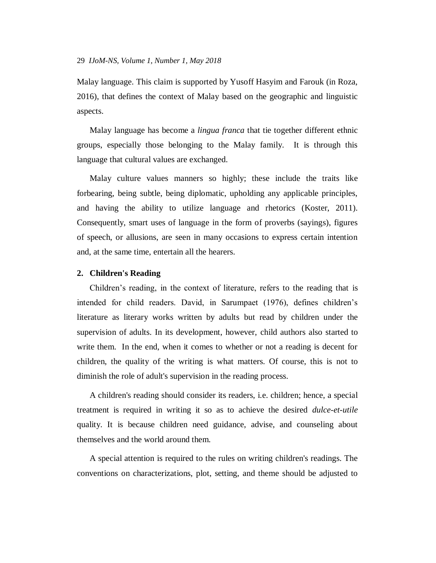Malay language. This claim is supported by Yusoff Hasyim and Farouk (in Roza, 2016), that defines the context of Malay based on the geographic and linguistic aspects.

Malay language has become a *lingua franca* that tie together different ethnic groups, especially those belonging to the Malay family. It is through this language that cultural values are exchanged.

Malay culture values manners so highly; these include the traits like forbearing, being subtle, being diplomatic, upholding any applicable principles, and having the ability to utilize language and rhetorics (Koster, 2011). Consequently, smart uses of language in the form of proverbs (sayings), figures of speech, or allusions, are seen in many occasions to express certain intention and, at the same time, entertain all the hearers.

# **2. Children's Reading**

Children's reading, in the context of literature, refers to the reading that is intended for child readers. David, in Sarumpaet (1976), defines children's literature as literary works written by adults but read by children under the supervision of adults. In its development, however, child authors also started to write them. In the end, when it comes to whether or not a reading is decent for children, the quality of the writing is what matters. Of course, this is not to diminish the role of adult's supervision in the reading process.

A children's reading should consider its readers, i.e. children; hence, a special treatment is required in writing it so as to achieve the desired *dulce-et-utile* quality. It is because children need guidance, advise, and counseling about themselves and the world around them.

A special attention is required to the rules on writing children's readings. The conventions on characterizations, plot, setting, and theme should be adjusted to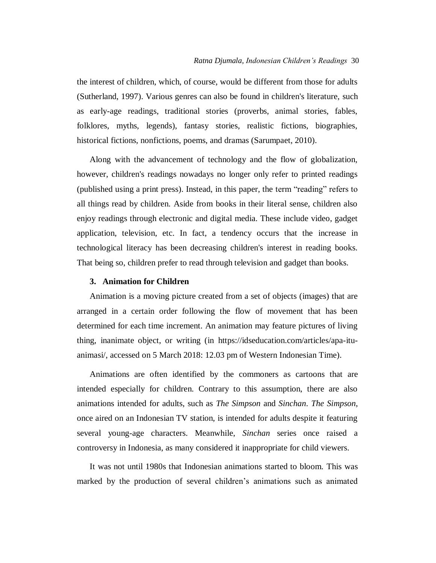the interest of children, which, of course, would be different from those for adults (Sutherland, 1997). Various genres can also be found in children's literature, such as early-age readings, traditional stories (proverbs, animal stories, fables, folklores, myths, legends), fantasy stories, realistic fictions, biographies, historical fictions, nonfictions, poems, and dramas (Sarumpaet, 2010).

Along with the advancement of technology and the flow of globalization, however, children's readings nowadays no longer only refer to printed readings (published using a print press). Instead, in this paper, the term "reading" refers to all things read by children. Aside from books in their literal sense, children also enjoy readings through electronic and digital media. These include video, gadget application, television, etc. In fact, a tendency occurs that the increase in technological literacy has been decreasing children's interest in reading books. That being so, children prefer to read through television and gadget than books.

#### **3. Animation for Children**

Animation is a moving picture created from a set of objects (images) that are arranged in a certain order following the flow of movement that has been determined for each time increment. An animation may feature pictures of living thing, inanimate object, or writing (in [https://idseducation.com/articles/apa-itu](https://idseducation.com/articles/apa-itu-animasi/)[animasi/,](https://idseducation.com/articles/apa-itu-animasi/) accessed on 5 March 2018: 12.03 pm of Western Indonesian Time).

Animations are often identified by the commoners as cartoons that are intended especially for children. Contrary to this assumption, there are also animations intended for adults, such as *The Simpson* and *Sinchan*. *The Simpson*, once aired on an Indonesian TV station, is intended for adults despite it featuring several young-age characters. Meanwhile, *Sinchan* series once raised a controversy in Indonesia, as many considered it inappropriate for child viewers.

It was not until 1980s that Indonesian animations started to bloom. This was marked by the production of several children's animations such as animated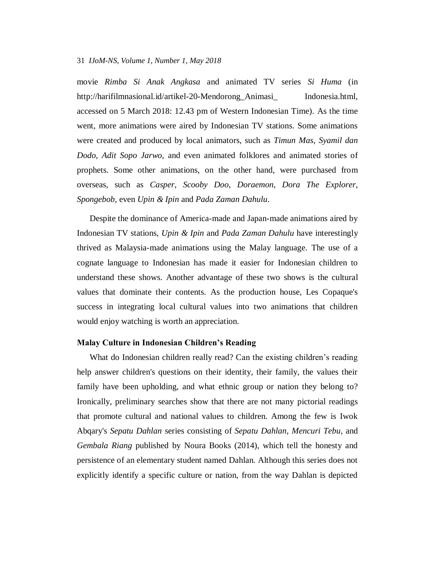movie *Rimba Si Anak Angkasa* and animated TV series *Si Huma* (in [http://harifilmnasional.id/artikel-20-Mendorong\\_Animasi\\_](http://harifilmnasional.id/artikel-20-Mendorong_Animasi_Indonesia.html) Indonesia.html, accessed on 5 March 2018: 12.43 pm of Western Indonesian Time). As the time went, more animations were aired by Indonesian TV stations. Some animations were created and produced by local animators, such as *Timun Mas*, *Syamil dan Dodo*, *Adit Sopo Jarwo*, and even animated folklores and animated stories of prophets. Some other animations, on the other hand, were purchased from overseas, such as *Casper*, *Scooby Doo*, *Doraemon*, *Dora The Explorer*, *Spongebob*, even *Upin & Ipin* and *Pada Zaman Dahulu*.

Despite the dominance of America-made and Japan-made animations aired by Indonesian TV stations, *Upin & Ipin* and *Pada Zaman Dahulu* have interestingly thrived as Malaysia-made animations using the Malay language. The use of a cognate language to Indonesian has made it easier for Indonesian children to understand these shows. Another advantage of these two shows is the cultural values that dominate their contents. As the production house, Les Copaque's success in integrating local cultural values into two animations that children would enjoy watching is worth an appreciation.

#### **Malay Culture in Indonesian Children's Reading**

What do Indonesian children really read? Can the existing children's reading help answer children's questions on their identity, their family, the values their family have been upholding, and what ethnic group or nation they belong to? Ironically, preliminary searches show that there are not many pictorial readings that promote cultural and national values to children. Among the few is Iwok Abqary's *Sepatu Dahlan* series consisting of *Sepatu Dahlan*, *Mencuri Tebu*, and *Gembala Riang* published by Noura Books (2014), which tell the honesty and persistence of an elementary student named Dahlan. Although this series does not explicitly identify a specific culture or nation, from the way Dahlan is depicted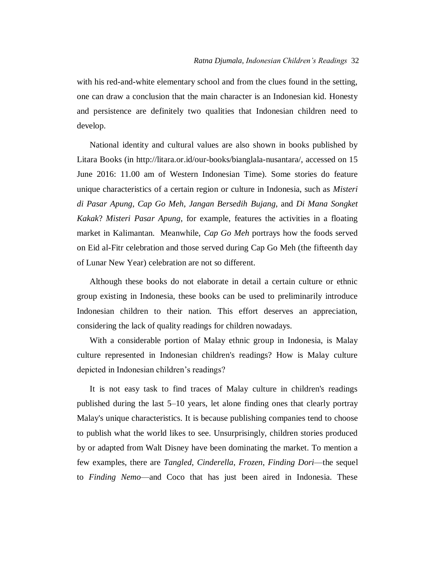with his red-and-white elementary school and from the clues found in the setting, one can draw a conclusion that the main character is an Indonesian kid. Honesty and persistence are definitely two qualities that Indonesian children need to develop.

National identity and cultural values are also shown in books published by Litara Books (in http://litara.or.id/our-books/bianglala-nusantara/, accessed on 15 June 2016: 11.00 am of Western Indonesian Time). Some stories do feature unique characteristics of a certain region or culture in Indonesia, such as *Misteri di Pasar Apung*, *Cap Go Meh*, *Jangan Bersedih Bujang*, and *Di Mana Songket Kakak*? *Misteri Pasar Apung*, for example, features the activities in a floating market in Kalimantan. Meanwhile, *Cap Go Meh* portrays how the foods served on Eid al-Fitr celebration and those served during Cap Go Meh (the fifteenth day of Lunar New Year) celebration are not so different.

Although these books do not elaborate in detail a certain culture or ethnic group existing in Indonesia, these books can be used to preliminarily introduce Indonesian children to their nation. This effort deserves an appreciation, considering the lack of quality readings for children nowadays.

With a considerable portion of Malay ethnic group in Indonesia, is Malay culture represented in Indonesian children's readings? How is Malay culture depicted in Indonesian children's readings?

It is not easy task to find traces of Malay culture in children's readings published during the last 5–10 years, let alone finding ones that clearly portray Malay's unique characteristics. It is because publishing companies tend to choose to publish what the world likes to see. Unsurprisingly, children stories produced by or adapted from Walt Disney have been dominating the market. To mention a few examples, there are *Tangled*, *Cinderella*, *Frozen*, *Finding Dori*—the sequel to *Finding Nemo*—and Coco that has just been aired in Indonesia. These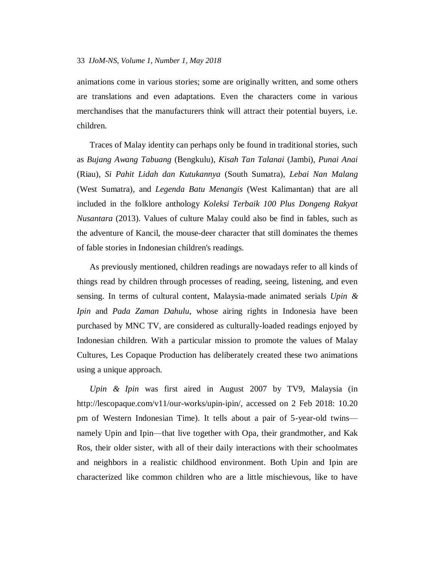animations come in various stories; some are originally written, and some others are translations and even adaptations. Even the characters come in various merchandises that the manufacturers think will attract their potential buyers, i.e. children.

Traces of Malay identity can perhaps only be found in traditional stories, such as *Bujang Awang Tabuang* (Bengkulu), *Kisah Tan Talanai* (Jambi), *Punai Anai* (Riau), *Si Pahit Lidah dan Kutukannya* (South Sumatra), *Lebai Nan Malang* (West Sumatra), and *Legenda Batu Menangis* (West Kalimantan) that are all included in the folklore anthology *Koleksi Terbaik 100 Plus Dongeng Rakyat Nusantara* (2013). Values of culture Malay could also be find in fables, such as the adventure of Kancil, the mouse-deer character that still dominates the themes of fable stories in Indonesian children's readings.

As previously mentioned, children readings are nowadays refer to all kinds of things read by children through processes of reading, seeing, listening, and even sensing. In terms of cultural content, Malaysia-made animated serials *Upin & Ipin* and *Pada Zaman Dahulu*, whose airing rights in Indonesia have been purchased by MNC TV, are considered as culturally-loaded readings enjoyed by Indonesian children. With a particular mission to promote the values of Malay Cultures, Les Copaque Production has deliberately created these two animations using a unique approach.

*Upin & Ipin* was first aired in August 2007 by TV9, Malaysia (in [http://lescopaque.com/v11/our-works/upin-ipin/,](http://lescopaque.com/v11/our-works/upin-ipin/) accessed on 2 Feb 2018: 10.20 pm of Western Indonesian Time). It tells about a pair of 5-year-old twins namely Upin and Ipin—that live together with Opa, their grandmother, and Kak Ros, their older sister, with all of their daily interactions with their schoolmates and neighbors in a realistic childhood environment. Both Upin and Ipin are characterized like common children who are a little mischievous, like to have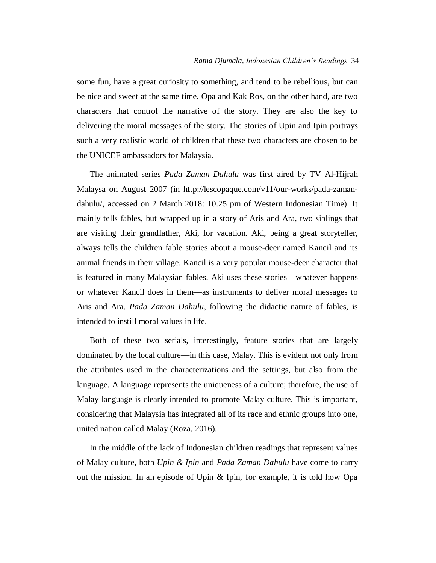some fun, have a great curiosity to something, and tend to be rebellious, but can be nice and sweet at the same time. Opa and Kak Ros, on the other hand, are two characters that control the narrative of the story. They are also the key to delivering the moral messages of the story. The stories of Upin and Ipin portrays such a very realistic world of children that these two characters are chosen to be the UNICEF ambassadors for Malaysia.

The animated series *Pada Zaman Dahulu* was first aired by TV Al-Hijrah Malaysa on August 2007 (in http://lescopaque.com/v11/our-works/pada-zamandahulu/, accessed on 2 March 2018: 10.25 pm of Western Indonesian Time). It mainly tells fables, but wrapped up in a story of Aris and Ara, two siblings that are visiting their grandfather, Aki, for vacation. Aki, being a great storyteller, always tells the children fable stories about a mouse-deer named Kancil and its animal friends in their village. Kancil is a very popular mouse-deer character that is featured in many Malaysian fables. Aki uses these stories—whatever happens or whatever Kancil does in them—as instruments to deliver moral messages to Aris and Ara. *Pada Zaman Dahulu*, following the didactic nature of fables, is intended to instill moral values in life.

Both of these two serials, interestingly, feature stories that are largely dominated by the local culture—in this case, Malay. This is evident not only from the attributes used in the characterizations and the settings, but also from the language. A language represents the uniqueness of a culture; therefore, the use of Malay language is clearly intended to promote Malay culture. This is important, considering that Malaysia has integrated all of its race and ethnic groups into one, united nation called Malay (Roza, 2016).

In the middle of the lack of Indonesian children readings that represent values of Malay culture, both *Upin & Ipin* and *Pada Zaman Dahulu* have come to carry out the mission. In an episode of Upin & Ipin, for example, it is told how Opa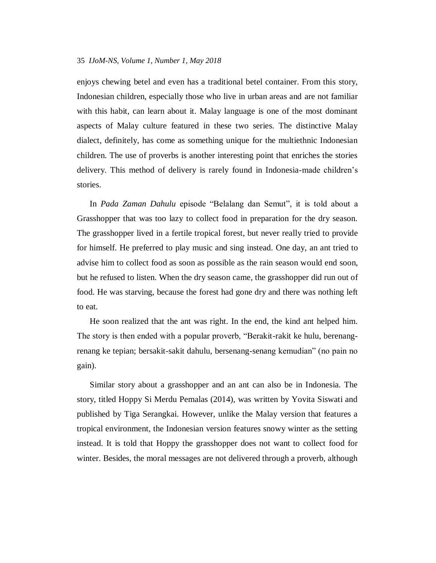enjoys chewing betel and even has a traditional betel container. From this story, Indonesian children, especially those who live in urban areas and are not familiar with this habit, can learn about it. Malay language is one of the most dominant aspects of Malay culture featured in these two series. The distinctive Malay dialect, definitely, has come as something unique for the multiethnic Indonesian children. The use of proverbs is another interesting point that enriches the stories delivery. This method of delivery is rarely found in Indonesia-made children's stories.

In *Pada Zaman Dahulu* episode "Belalang dan Semut", it is told about a Grasshopper that was too lazy to collect food in preparation for the dry season. The grasshopper lived in a fertile tropical forest, but never really tried to provide for himself. He preferred to play music and sing instead. One day, an ant tried to advise him to collect food as soon as possible as the rain season would end soon, but he refused to listen. When the dry season came, the grasshopper did run out of food. He was starving, because the forest had gone dry and there was nothing left to eat.

He soon realized that the ant was right. In the end, the kind ant helped him. The story is then ended with a popular proverb, "Berakit-rakit ke hulu, berenangrenang ke tepian; bersakit-sakit dahulu, bersenang-senang kemudian" (no pain no gain).

Similar story about a grasshopper and an ant can also be in Indonesia. The story, titled Hoppy Si Merdu Pemalas (2014), was written by Yovita Siswati and published by Tiga Serangkai. However, unlike the Malay version that features a tropical environment, the Indonesian version features snowy winter as the setting instead. It is told that Hoppy the grasshopper does not want to collect food for winter. Besides, the moral messages are not delivered through a proverb, although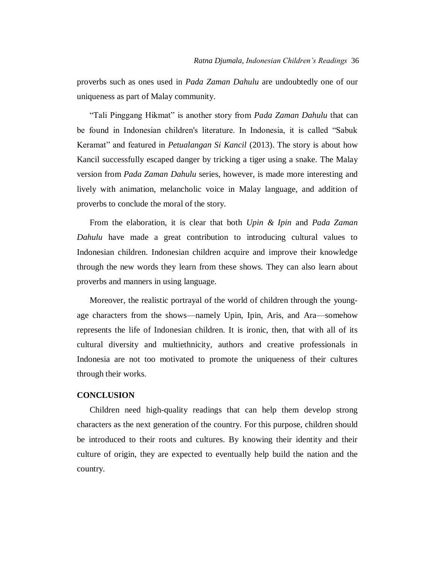proverbs such as ones used in *Pada Zaman Dahulu* are undoubtedly one of our uniqueness as part of Malay community.

―Tali Pinggang Hikmat‖ is another story from *Pada Zaman Dahulu* that can be found in Indonesian children's literature. In Indonesia, it is called "Sabuk Keramat" and featured in *Petualangan Si Kancil* (2013). The story is about how Kancil successfully escaped danger by tricking a tiger using a snake. The Malay version from *Pada Zaman Dahulu* series, however, is made more interesting and lively with animation, melancholic voice in Malay language, and addition of proverbs to conclude the moral of the story.

From the elaboration, it is clear that both *Upin & Ipin* and *Pada Zaman Dahulu* have made a great contribution to introducing cultural values to Indonesian children. Indonesian children acquire and improve their knowledge through the new words they learn from these shows. They can also learn about proverbs and manners in using language.

Moreover, the realistic portrayal of the world of children through the youngage characters from the shows—namely Upin, Ipin, Aris, and Ara—somehow represents the life of Indonesian children. It is ironic, then, that with all of its cultural diversity and multiethnicity, authors and creative professionals in Indonesia are not too motivated to promote the uniqueness of their cultures through their works.

## **CONCLUSION**

Children need high-quality readings that can help them develop strong characters as the next generation of the country. For this purpose, children should be introduced to their roots and cultures. By knowing their identity and their culture of origin, they are expected to eventually help build the nation and the country.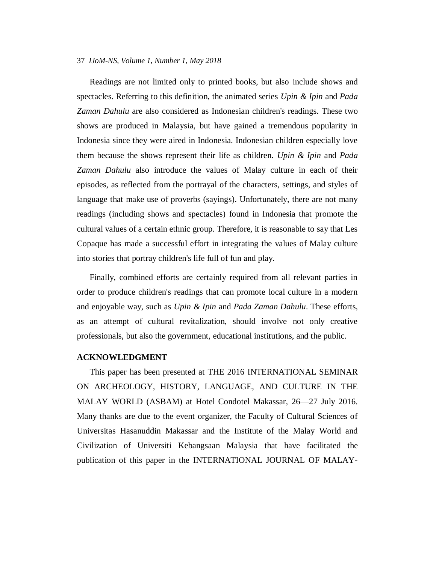Readings are not limited only to printed books, but also include shows and spectacles. Referring to this definition, the animated series *Upin & Ipin* and *Pada Zaman Dahulu* are also considered as Indonesian children's readings. These two shows are produced in Malaysia, but have gained a tremendous popularity in Indonesia since they were aired in Indonesia. Indonesian children especially love them because the shows represent their life as children. *Upin & Ipin* and *Pada Zaman Dahulu* also introduce the values of Malay culture in each of their episodes, as reflected from the portrayal of the characters, settings, and styles of language that make use of proverbs (sayings). Unfortunately, there are not many readings (including shows and spectacles) found in Indonesia that promote the cultural values of a certain ethnic group. Therefore, it is reasonable to say that Les Copaque has made a successful effort in integrating the values of Malay culture into stories that portray children's life full of fun and play.

Finally, combined efforts are certainly required from all relevant parties in order to produce children's readings that can promote local culture in a modern and enjoyable way, such as *Upin & Ipin* and *Pada Zaman Dahulu*. These efforts, as an attempt of cultural revitalization, should involve not only creative professionals, but also the government, educational institutions, and the public.

# **ACKNOWLEDGMENT**

This paper has been presented at THE 2016 INTERNATIONAL SEMINAR ON ARCHEOLOGY, HISTORY, LANGUAGE, AND CULTURE IN THE MALAY WORLD (ASBAM) at Hotel Condotel Makassar, 26—27 July 2016. Many thanks are due to the event organizer, the Faculty of Cultural Sciences of Universitas Hasanuddin Makassar and the Institute of the Malay World and Civilization of Universiti Kebangsaan Malaysia that have facilitated the publication of this paper in the INTERNATIONAL JOURNAL OF MALAY-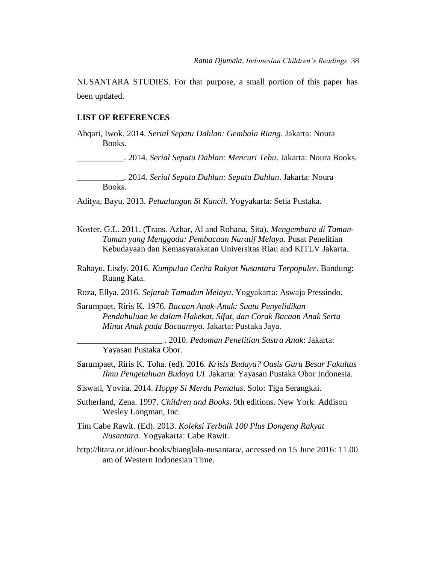NUSANTARA STUDIES. For that purpose, a small portion of this paper has been updated.

## **LIST OF REFERENCES**

Abqari, Iwok. 2014. *Serial Sepatu Dahlan: Gembala Riang*. Jakarta: Noura Books.

\_\_\_\_\_\_\_\_\_\_\_. 2014. *Serial Sepatu Dahlan: Mencuri Tebu*. Jakarta: Noura Books.

\_\_\_\_\_\_\_\_\_\_\_. 2014. *Serial Sepatu Dahlan: Sepatu Dahlan*. Jakarta: Noura Books.

Aditya, Bayu. 2013. *Petualangan Si Kancil*. Yogyakarta: Setia Pustaka.

- Koster, G.L. 2011. (Trans. Azhar, Al and Rohana, Sita). *Mengembara di Taman-Taman yang Menggoda: Pembacaan Naratif Melayu*. Pusat Penelitian Kebudayaan dan Kemasyarakatan Universitas Riau and KITLV Jakarta.
- Rahayu, Lisdy. 2016. *Kumpulan Cerita Rakyat Nusantara Terpopuler*. Bandung: Ruang Kata.
- Roza, Ellya. 2016. *Sejarah Tamadun Melayu*. Yogyakarta: Aswaja Pressindo.
- Sarumpaet. Riris K. 1976. *Bacaan Anak-Anak: Suatu Penyelidikan Pendahuluan ke dalam Hakekat, Sifat, dan Corak Bacaan Anak Serta Minat Anak pada Bacaannya*. Jakarta: Pustaka Jaya.

\_\_\_\_\_\_\_\_\_\_\_\_\_\_\_\_\_\_\_\_ . 2010. *Pedoman Penelitian Sastra Anak*: Jakarta: Yayasan Pustaka Obor.

- Sarumpaet, Riris K. Toha. (ed). 2016. *Krisis Budaya? Oasis Guru Besar Fakultas Ilmu Pengetahuan Budaya UI*. Jakarta: Yayasan Pustaka Obor Indonesia.
- Siswati, Yovita. 2014. *Hoppy Si Merdu Pemalas*. Solo: Tiga Serangkai.
- Sutherland, Zena. 1997. *Children and Books*. 9th editions. New York: Addison Wesley Longman, Inc.
- Tim Cabe Rawit. (Ed). 2013. *Koleksi Terbaik 100 Plus Dongeng Rakyat Nusantara.* Yogyakarta: Cabe Rawit.
- http://litara.or.id/our-books/bianglala-nusantara/, accessed on 15 June 2016: 11.00 am of Western Indonesian Time.